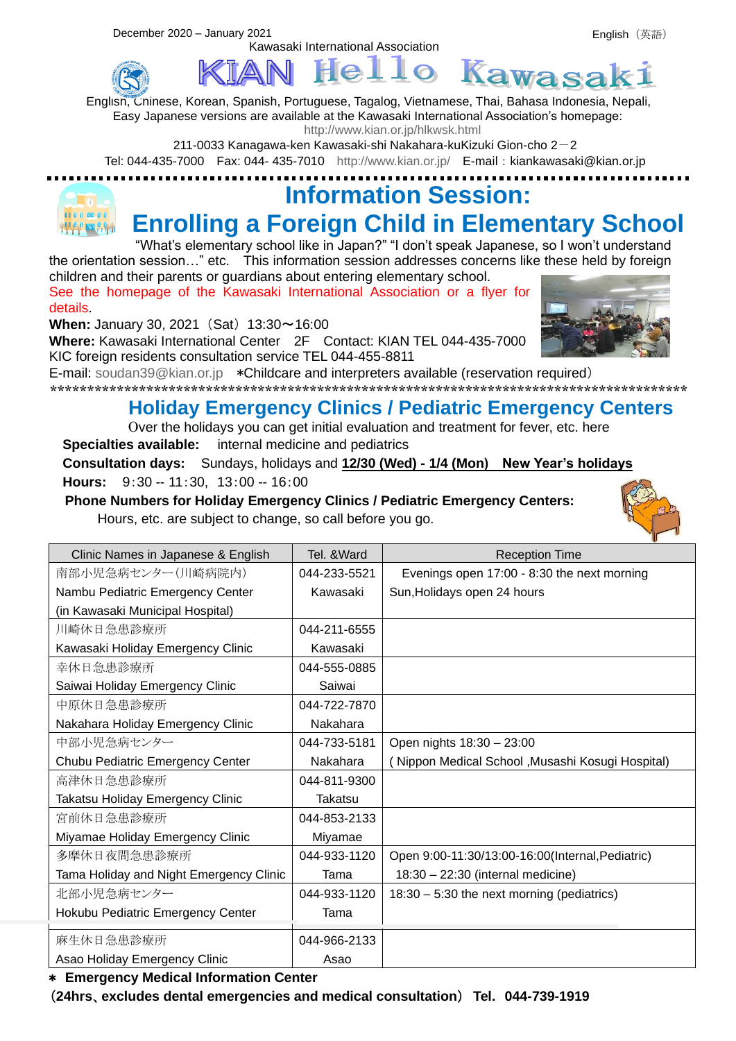

 $He11o$ Kawas English, Chinese, Korean, Spanish, Portuguese, Tagalog, Vietnamese, Thai, Bahasa Indonesia, Nepali, Easy Japanese versions are available at the Kawasaki International Association's homepage:

<http://www.kian.or.jp/hlkwsk.html>

211-0033 Kanagawa-ken Kawasaki-shi Nakahara-kuKizuki Gion-cho  $2-2$ 

Kawasaki International Association

Tel: 044-435-7000 Fax: 044- 435-7010 <http://www.kian.or.jp/>E-mail:kiankawasaki@kian.or.jp

#### **Information Session:**  000000000 **Enrolling a Foreign Child in Elementary School**

"What's elementary school like in Japan?" "I don't speak Japanese, so I won't understand the orientation session…" etc. This information session addresses concerns like these held by foreign

children and their parents or guardians about entering elementary school. See the homepage of the Kawasaki International Association or a flyer for details.

**When:** January 30, 2021 (Sat) 13:30~16:00

**Where:** Kawasaki International Center 2F Contact: KIAN TEL 044-435-7000 KIC foreign residents consultation service TEL 044-455-8811



E-mail: [soudan39@kian.or.jp](mailto:soudan39@kian.or.jp) \*Childcare and interpreters available (reservation required)

\*\*\*\*\*\*\*\*\*\*\*\*\*\*\*\*\*\*\*\*\*\*\*\*\*\*\*\*\*\*\*\*\*\*\*\*\*\*\*\*\*\*\*\*\*\*\*\*\*\*\*\*\*\*\*\*\*\*\*\*\*\*\*\*\*\*\*\*\*\*\*\*\*\*\*\*\*\*\*\*\*\*\*\*\*\*

#### **Holiday Emergency Clinics / Pediatric Emergency Centers**

Over the holidays you can get initial evaluation and treatment for fever, etc. here **Specialties available:** internal medicine and pediatrics

**Consultation days:** Sundays, holidays and **12/30 (Wed) - 1/4 (Mon) New Year's holidays Hours:** 9:30 -- 11:30, 13:00 -- 16:00

**Phone Numbers for Holiday Emergency Clinics / Pediatric Emergency Centers:**

Hours, etc. are subject to change, so call before you go.

| Clinic Names in Japanese & English      | Tel. & Ward  | <b>Reception Time</b>                             |  |
|-----------------------------------------|--------------|---------------------------------------------------|--|
| 南部小児急病センター(川崎病院内)                       | 044-233-5521 | Evenings open 17:00 - 8:30 the next morning       |  |
| Nambu Pediatric Emergency Center        | Kawasaki     | Sun, Holidays open 24 hours                       |  |
| (in Kawasaki Municipal Hospital)        |              |                                                   |  |
| 川崎休日急患診療所                               | 044-211-6555 |                                                   |  |
| Kawasaki Holiday Emergency Clinic       | Kawasaki     |                                                   |  |
| 幸休日急患診療所                                | 044-555-0885 |                                                   |  |
| Saiwai Holiday Emergency Clinic         | Saiwai       |                                                   |  |
| 中原休日急患診療所                               | 044-722-7870 |                                                   |  |
| Nakahara Holiday Emergency Clinic       | Nakahara     |                                                   |  |
| 中部小児急病センター                              | 044-733-5181 | Open nights 18:30 - 23:00                         |  |
| Chubu Pediatric Emergency Center        | Nakahara     | (Nippon Medical School , Musashi Kosugi Hospital) |  |
| 高津休日急患診療所                               | 044-811-9300 |                                                   |  |
| Takatsu Holiday Emergency Clinic        | Takatsu      |                                                   |  |
| 宮前休日急患診療所                               | 044-853-2133 |                                                   |  |
| Miyamae Holiday Emergency Clinic        | Miyamae      |                                                   |  |
| 多摩休日夜間急患診療所                             | 044-933-1120 | Open 9:00-11:30/13:00-16:00(Internal, Pediatric)  |  |
| Tama Holiday and Night Emergency Clinic | Tama         | 18:30 - 22:30 (internal medicine)                 |  |
| 北部小児急病センター                              | 044-933-1120 | 18:30 - 5:30 the next morning (pediatrics)        |  |
| Hokubu Pediatric Emergency Center       | Tama         |                                                   |  |
| 麻生休日急患診療所                               | 044-966-2133 |                                                   |  |
| Asao Holiday Emergency Clinic           | Asao         |                                                   |  |

\* **Emergency Medical Information Center**

(**24hrs**、**excludes dental emergencies and medical consultation**) **Tel. 044-739-1919**